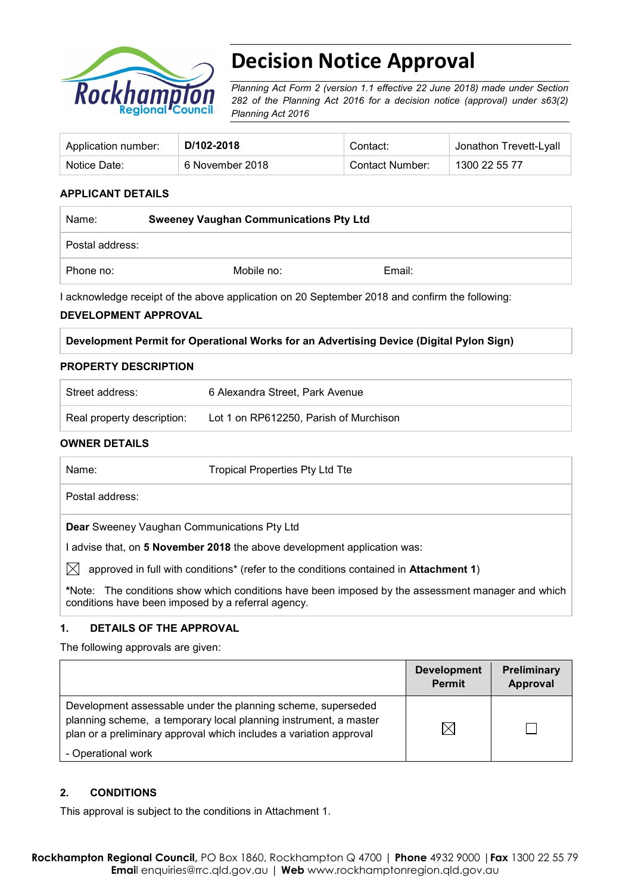

# **Decision Notice Approval**

*Planning Act Form 2 (version 1.1 effective 22 June 2018) made under Section 282 of the Planning Act 2016 for a decision notice (approval) under s63(2) Planning Act 2016*

| Application number: | D/102-2018      | Contact:        | <sup>⊥</sup> Jonathon Trevett-Lyall |
|---------------------|-----------------|-----------------|-------------------------------------|
| Notice Date:        | 6 November 2018 | Contact Number: | 1300 22 55 77                       |

### **APPLICANT DETAILS**

| Name:           | <b>Sweeney Vaughan Communications Pty Ltd</b> |        |  |  |
|-----------------|-----------------------------------------------|--------|--|--|
| Postal address: |                                               |        |  |  |
| Phone no:       | Mobile no:                                    | Email: |  |  |

I acknowledge receipt of the above application on 20 September 2018 and confirm the following:

#### **DEVELOPMENT APPROVAL**

| Development Permit for Operational Works for an Advertising Device (Digital Pylon Sign) |  |
|-----------------------------------------------------------------------------------------|--|
|-----------------------------------------------------------------------------------------|--|

#### **PROPERTY DESCRIPTION**

| Street address:            | 6 Alexandra Street, Park Avenue        |
|----------------------------|----------------------------------------|
| Real property description: | Lot 1 on RP612250, Parish of Murchison |

#### **OWNER DETAILS**

| Name:                                              | Tropical Properties Pty Ltd Tte                                                                   |
|----------------------------------------------------|---------------------------------------------------------------------------------------------------|
| Postal address:                                    |                                                                                                   |
| Dear Sweeney Vaughan Communications Pty Ltd        |                                                                                                   |
|                                                    | l advise that, on 5 November 2018 the above development application was:                          |
| IXI                                                | approved in full with conditions* (refer to the conditions contained in Attachment 1)             |
| conditions have been imposed by a referral agency. | *Note: The conditions show which conditions have been imposed by the assessment manager and which |

#### **1. DETAILS OF THE APPROVAL**

The following approvals are given:

|                                                                                                                                                                                                        | <b>Development</b><br><b>Permit</b> | Preliminary<br>Approval |
|--------------------------------------------------------------------------------------------------------------------------------------------------------------------------------------------------------|-------------------------------------|-------------------------|
| Development assessable under the planning scheme, superseded<br>planning scheme, a temporary local planning instrument, a master<br>plan or a preliminary approval which includes a variation approval | M                                   |                         |
| - Operational work                                                                                                                                                                                     |                                     |                         |

#### **2. CONDITIONS**

This approval is subject to the conditions in Attachment 1.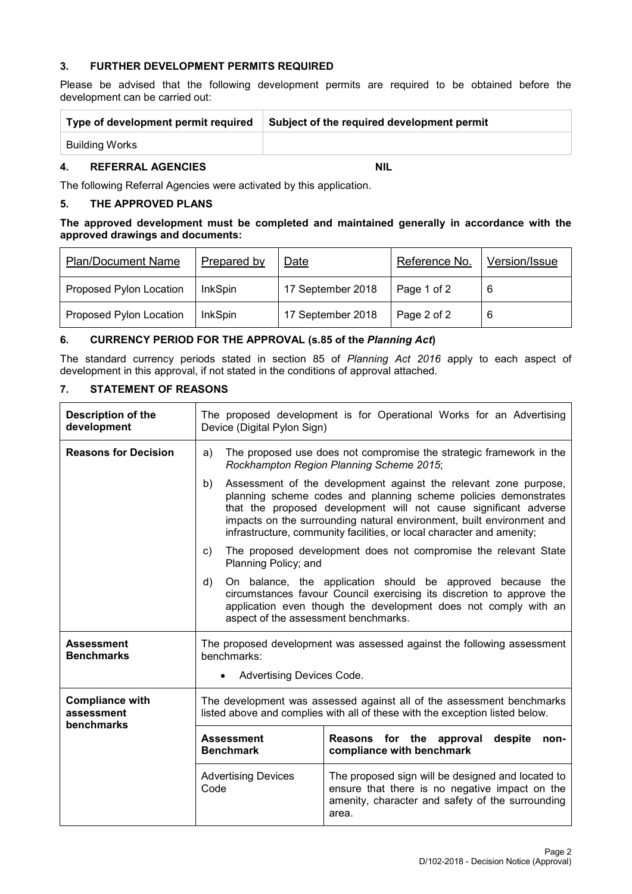#### **3. FURTHER DEVELOPMENT PERMITS REQUIRED**

Please be advised that the following development permits are required to be obtained before the development can be carried out:

| Type of development permit required | Subject of the required development permit |
|-------------------------------------|--------------------------------------------|
| Building Works                      |                                            |

#### **4. REFERRAL AGENCIES NIL**

The following Referral Agencies were activated by this application.

### **5. THE APPROVED PLANS**

#### **The approved development must be completed and maintained generally in accordance with the approved drawings and documents:**

| <b>Plan/Document Name</b> | Prepared by    | Date              | Reference No. | Version/Issue |
|---------------------------|----------------|-------------------|---------------|---------------|
| Proposed Pylon Location   | <b>InkSpin</b> | 17 September 2018 | Page 1 of 2   | -6            |
| Proposed Pylon Location   | <b>InkSpin</b> | 17 September 2018 | Page 2 of 2   | -6            |

#### **6. CURRENCY PERIOD FOR THE APPROVAL (s.85 of the** *Planning Act***)**

The standard currency periods stated in section 85 of *Planning Act 2016* apply to each aspect of development in this approval, if not stated in the conditions of approval attached.

## **7. STATEMENT OF REASONS**

| <b>Description of the</b><br>development           | The proposed development is for Operational Works for an Advertising<br>Device (Digital Pylon Sign)                                                                                                                                                                                                                                                             |                                                                                                                                                                  |  |  |
|----------------------------------------------------|-----------------------------------------------------------------------------------------------------------------------------------------------------------------------------------------------------------------------------------------------------------------------------------------------------------------------------------------------------------------|------------------------------------------------------------------------------------------------------------------------------------------------------------------|--|--|
| <b>Reasons for Decision</b>                        | The proposed use does not compromise the strategic framework in the<br>a)<br>Rockhampton Region Planning Scheme 2015;                                                                                                                                                                                                                                           |                                                                                                                                                                  |  |  |
|                                                    | Assessment of the development against the relevant zone purpose,<br>b)<br>planning scheme codes and planning scheme policies demonstrates<br>that the proposed development will not cause significant adverse<br>impacts on the surrounding natural environment, built environment and<br>infrastructure, community facilities, or local character and amenity; |                                                                                                                                                                  |  |  |
|                                                    | C)<br>Planning Policy; and                                                                                                                                                                                                                                                                                                                                      | The proposed development does not compromise the relevant State                                                                                                  |  |  |
|                                                    | On balance, the application should be approved because the<br>d)<br>circumstances favour Council exercising its discretion to approve the<br>application even though the development does not comply with an<br>aspect of the assessment benchmarks.                                                                                                            |                                                                                                                                                                  |  |  |
| <b>Assessment</b><br><b>Benchmarks</b>             | benchmarks:                                                                                                                                                                                                                                                                                                                                                     | The proposed development was assessed against the following assessment                                                                                           |  |  |
|                                                    | Advertising Devices Code.                                                                                                                                                                                                                                                                                                                                       |                                                                                                                                                                  |  |  |
| <b>Compliance with</b><br>assessment<br>benchmarks | The development was assessed against all of the assessment benchmarks<br>listed above and complies with all of these with the exception listed below.                                                                                                                                                                                                           |                                                                                                                                                                  |  |  |
|                                                    | <b>Assessment</b><br><b>Benchmark</b>                                                                                                                                                                                                                                                                                                                           | Reasons for the approval<br>despite<br>non-<br>compliance with benchmark                                                                                         |  |  |
|                                                    | <b>Advertising Devices</b><br>Code                                                                                                                                                                                                                                                                                                                              | The proposed sign will be designed and located to<br>ensure that there is no negative impact on the<br>amenity, character and safety of the surrounding<br>area. |  |  |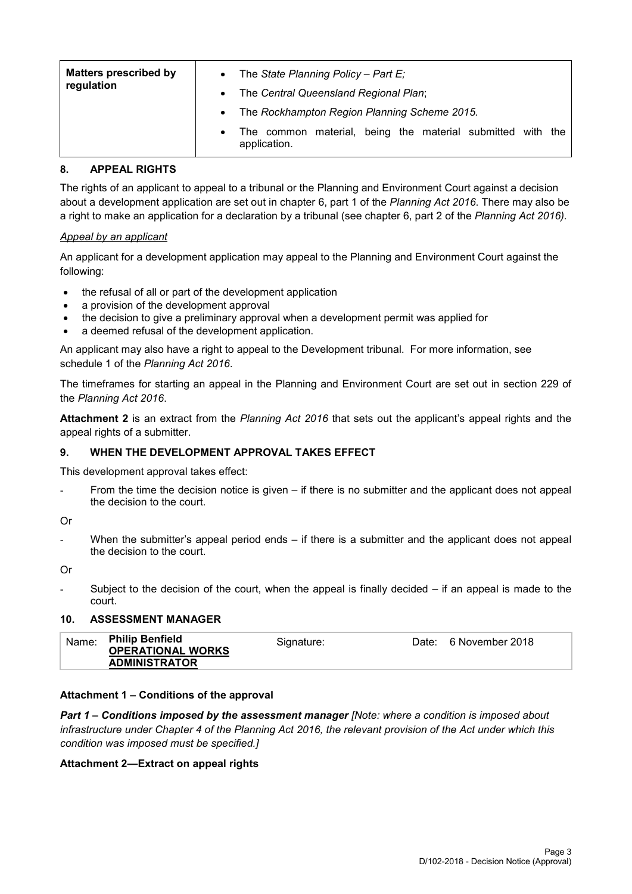| <b>Matters prescribed by</b><br>regulation | $\bullet$<br>$\bullet$ | The State Planning Policy - Part $E_i$<br>The Central Queensland Regional Plan; |
|--------------------------------------------|------------------------|---------------------------------------------------------------------------------|
|                                            | $\bullet$              | The Rockhampton Region Planning Scheme 2015.                                    |
|                                            | $\bullet$              | The common material, being the material submitted with the<br>application.      |

### **8. APPEAL RIGHTS**

The rights of an applicant to appeal to a tribunal or the Planning and Environment Court against a decision about a development application are set out in chapter 6, part 1 of the *Planning Act 2016*. There may also be a right to make an application for a declaration by a tribunal (see chapter 6, part 2 of the *Planning Act 2016).*

#### *Appeal by an applicant*

An applicant for a development application may appeal to the Planning and Environment Court against the following:

- the refusal of all or part of the development application
- a provision of the development approval
- the decision to give a preliminary approval when a development permit was applied for
- a deemed refusal of the development application.

An applicant may also have a right to appeal to the Development tribunal. For more information, see schedule 1 of the *Planning Act 2016*.

The timeframes for starting an appeal in the Planning and Environment Court are set out in section 229 of the *Planning Act 2016*.

**Attachment 2** is an extract from the *Planning Act 2016* that sets out the applicant's appeal rights and the appeal rights of a submitter.

## **9. WHEN THE DEVELOPMENT APPROVAL TAKES EFFECT**

This development approval takes effect:

From the time the decision notice is given  $-$  if there is no submitter and the applicant does not appeal the decision to the court.

Or

When the submitter's appeal period ends  $-$  if there is a submitter and the applicant does not appeal the decision to the court.

Or

Subject to the decision of the court, when the appeal is finally decided  $-$  if an appeal is made to the court.

#### **10. ASSESSMENT MANAGER**

| <b>Philip Benfield</b><br>Name:<br>6 November 2018<br>Signature:<br>Date:<br><b>OPERATIONAL WORKS</b><br><b>ADMINISTRATOR</b> |  |  |  |
|-------------------------------------------------------------------------------------------------------------------------------|--|--|--|
|-------------------------------------------------------------------------------------------------------------------------------|--|--|--|

## **Attachment 1 – Conditions of the approval**

*Part 1* **–** *Conditions imposed by the assessment manager [Note: where a condition is imposed about infrastructure under Chapter 4 of the Planning Act 2016, the relevant provision of the Act under which this condition was imposed must be specified.]*

#### **Attachment 2—Extract on appeal rights**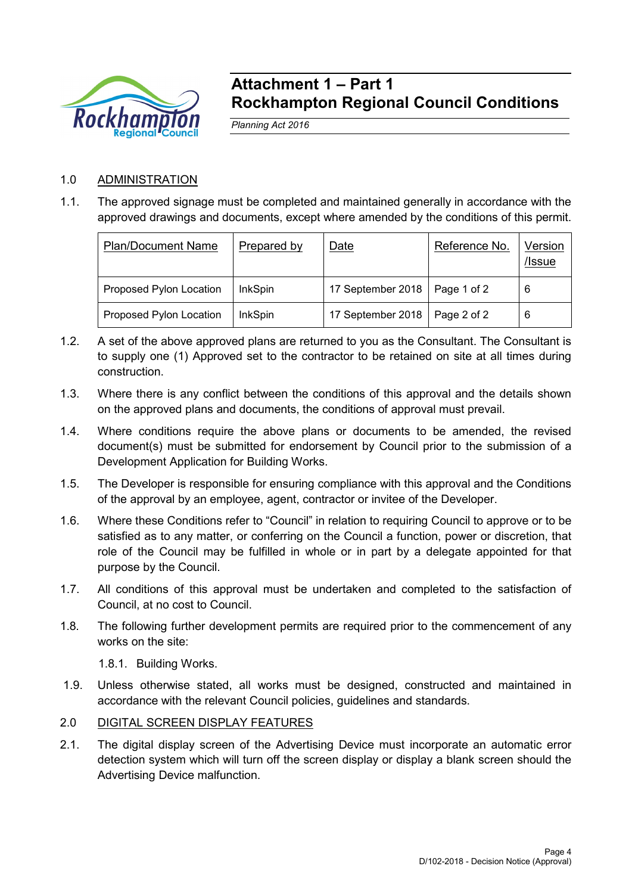

## **Attachment 1 – Part 1 Rockhampton Regional Council Conditions**

*Planning Act 2016*

## 1.0 ADMINISTRATION

1.1. The approved signage must be completed and maintained generally in accordance with the approved drawings and documents, except where amended by the conditions of this permit.

| <b>Plan/Document Name</b> | Prepared by | Date              | Reference No. | Version<br>/Issue |
|---------------------------|-------------|-------------------|---------------|-------------------|
| Proposed Pylon Location   | InkSpin     | 17 September 2018 | Page 1 of 2   | 6                 |
| Proposed Pylon Location   | InkSpin     | 17 September 2018 | Page 2 of 2   | 6                 |

- 1.2. A set of the above approved plans are returned to you as the Consultant. The Consultant is to supply one (1) Approved set to the contractor to be retained on site at all times during construction.
- 1.3. Where there is any conflict between the conditions of this approval and the details shown on the approved plans and documents, the conditions of approval must prevail.
- 1.4. Where conditions require the above plans or documents to be amended, the revised document(s) must be submitted for endorsement by Council prior to the submission of a Development Application for Building Works.
- 1.5. The Developer is responsible for ensuring compliance with this approval and the Conditions of the approval by an employee, agent, contractor or invitee of the Developer.
- 1.6. Where these Conditions refer to "Council" in relation to requiring Council to approve or to be satisfied as to any matter, or conferring on the Council a function, power or discretion, that role of the Council may be fulfilled in whole or in part by a delegate appointed for that purpose by the Council.
- 1.7. All conditions of this approval must be undertaken and completed to the satisfaction of Council, at no cost to Council.
- 1.8. The following further development permits are required prior to the commencement of any works on the site:

1.8.1. Building Works.

- 1.9. Unless otherwise stated, all works must be designed, constructed and maintained in accordance with the relevant Council policies, guidelines and standards.
- 2.0 DIGITAL SCREEN DISPLAY FEATURES
- 2.1. The digital display screen of the Advertising Device must incorporate an automatic error detection system which will turn off the screen display or display a blank screen should the Advertising Device malfunction.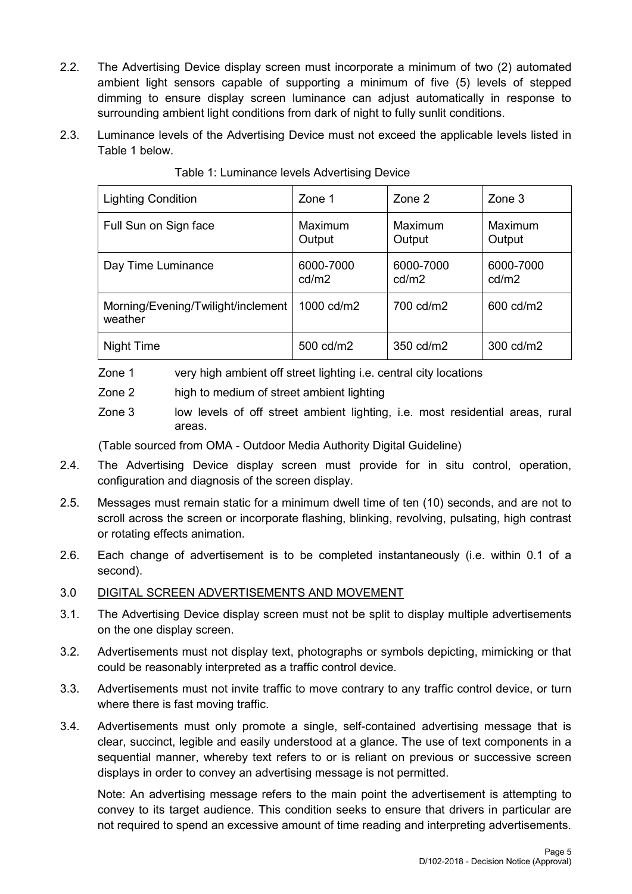- 2.2. The Advertising Device display screen must incorporate a minimum of two (2) automated ambient light sensors capable of supporting a minimum of five (5) levels of stepped dimming to ensure display screen luminance can adjust automatically in response to surrounding ambient light conditions from dark of night to fully sunlit conditions.
- 2.3. Luminance levels of the Advertising Device must not exceed the applicable levels listed in Table 1 below.

| <b>Lighting Condition</b>                     | Zone 1             | Zone 2             | Zone 3             |
|-----------------------------------------------|--------------------|--------------------|--------------------|
| Full Sun on Sign face                         | Maximum<br>Output  | Maximum<br>Output  | Maximum<br>Output  |
| Day Time Luminance                            | 6000-7000<br>cd/m2 | 6000-7000<br>cd/m2 | 6000-7000<br>cd/m2 |
| Morning/Evening/Twilight/inclement<br>weather | 1000 cd/m2         | 700 cd/m2          | 600 cd/m2          |
| Night Time                                    | 500 cd/m2          | 350 cd/m2          | 300 cd/m2          |

Table 1: Luminance levels Advertising Device

Zone 1 very high ambient off street lighting i.e. central city locations

Zone 2 high to medium of street ambient lighting

Zone 3 low levels of off street ambient lighting, i.e. most residential areas, rural areas.

(Table sourced from OMA - Outdoor Media Authority Digital Guideline)

- 2.4. The Advertising Device display screen must provide for in situ control, operation, configuration and diagnosis of the screen display.
- 2.5. Messages must remain static for a minimum dwell time of ten (10) seconds, and are not to scroll across the screen or incorporate flashing, blinking, revolving, pulsating, high contrast or rotating effects animation.
- 2.6. Each change of advertisement is to be completed instantaneously (i.e. within 0.1 of a second).

## 3.0 DIGITAL SCREEN ADVERTISEMENTS AND MOVEMENT

- 3.1. The Advertising Device display screen must not be split to display multiple advertisements on the one display screen.
- 3.2. Advertisements must not display text, photographs or symbols depicting, mimicking or that could be reasonably interpreted as a traffic control device.
- 3.3. Advertisements must not invite traffic to move contrary to any traffic control device, or turn where there is fast moving traffic.
- 3.4. Advertisements must only promote a single, self-contained advertising message that is clear, succinct, legible and easily understood at a glance. The use of text components in a sequential manner, whereby text refers to or is reliant on previous or successive screen displays in order to convey an advertising message is not permitted.

Note: An advertising message refers to the main point the advertisement is attempting to convey to its target audience. This condition seeks to ensure that drivers in particular are not required to spend an excessive amount of time reading and interpreting advertisements.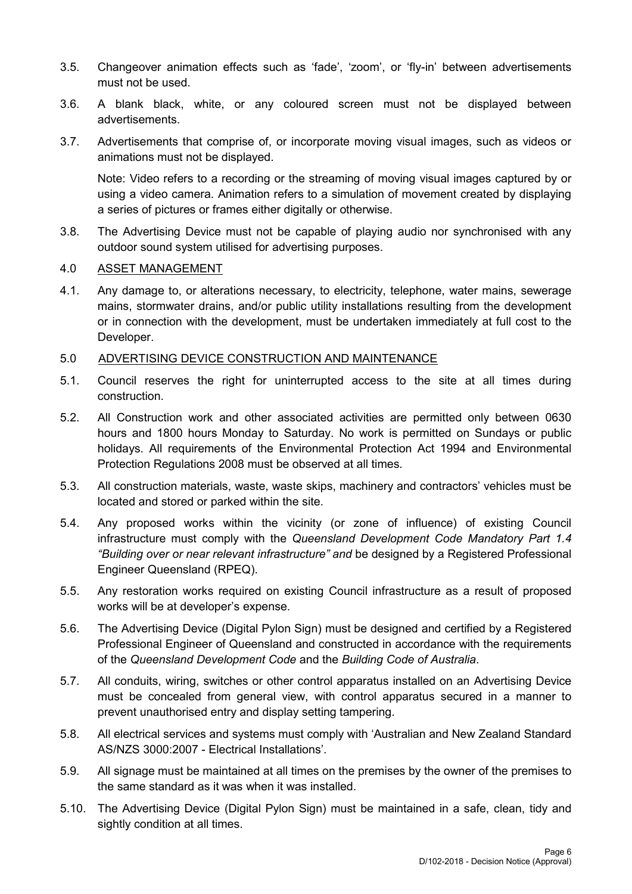- 3.5. Changeover animation effects such as 'fade', 'zoom', or 'fly-in' between advertisements must not be used.
- 3.6. A blank black, white, or any coloured screen must not be displayed between advertisements.
- 3.7. Advertisements that comprise of, or incorporate moving visual images, such as videos or animations must not be displayed.

Note: Video refers to a recording or the streaming of moving visual images captured by or using a video camera. Animation refers to a simulation of movement created by displaying a series of pictures or frames either digitally or otherwise.

3.8. The Advertising Device must not be capable of playing audio nor synchronised with any outdoor sound system utilised for advertising purposes.

#### 4.0 ASSET MANAGEMENT

4.1. Any damage to, or alterations necessary, to electricity, telephone, water mains, sewerage mains, stormwater drains, and/or public utility installations resulting from the development or in connection with the development, must be undertaken immediately at full cost to the Developer.

#### 5.0 ADVERTISING DEVICE CONSTRUCTION AND MAINTENANCE

- 5.1. Council reserves the right for uninterrupted access to the site at all times during construction.
- 5.2. All Construction work and other associated activities are permitted only between 0630 hours and 1800 hours Monday to Saturday. No work is permitted on Sundays or public holidays. All requirements of the Environmental Protection Act 1994 and Environmental Protection Regulations 2008 must be observed at all times.
- 5.3. All construction materials, waste, waste skips, machinery and contractors' vehicles must be located and stored or parked within the site.
- 5.4. Any proposed works within the vicinity (or zone of influence) of existing Council infrastructure must comply with the *Queensland Development Code Mandatory Part 1.4 "Building over or near relevant infrastructure" and* be designed by a Registered Professional Engineer Queensland (RPEQ).
- 5.5. Any restoration works required on existing Council infrastructure as a result of proposed works will be at developer's expense.
- 5.6. The Advertising Device (Digital Pylon Sign) must be designed and certified by a Registered Professional Engineer of Queensland and constructed in accordance with the requirements of the *Queensland Development Code* and the *Building Code of Australia*.
- 5.7. All conduits, wiring, switches or other control apparatus installed on an Advertising Device must be concealed from general view, with control apparatus secured in a manner to prevent unauthorised entry and display setting tampering.
- 5.8. All electrical services and systems must comply with 'Australian and New Zealand Standard AS/NZS 3000:2007 - Electrical Installations'.
- 5.9. All signage must be maintained at all times on the premises by the owner of the premises to the same standard as it was when it was installed.
- 5.10. The Advertising Device (Digital Pylon Sign) must be maintained in a safe, clean, tidy and sightly condition at all times.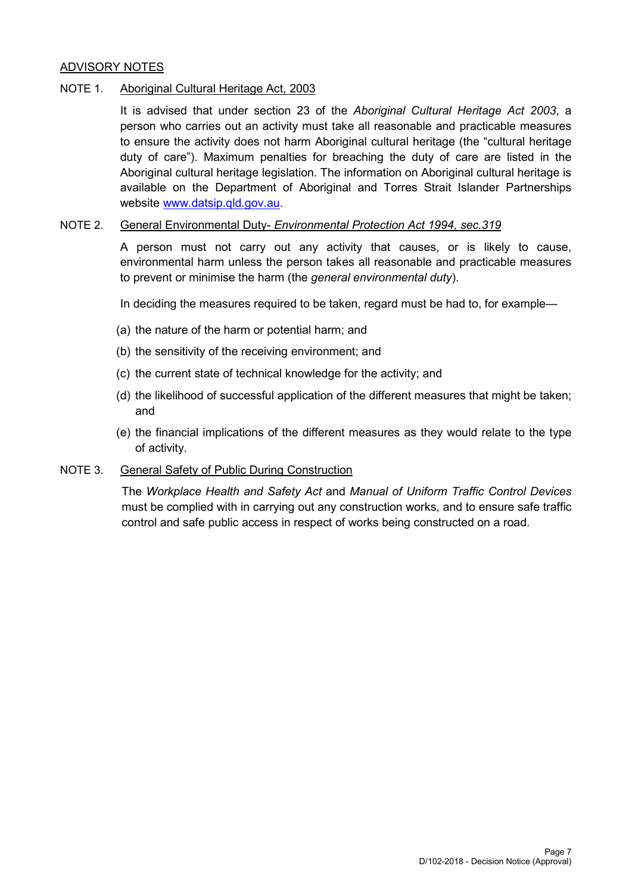## ADVISORY NOTES

#### NOTE 1. Aboriginal Cultural Heritage Act, 2003

It is advised that under section 23 of the *Aboriginal Cultural Heritage Act 2003*, a person who carries out an activity must take all reasonable and practicable measures to ensure the activity does not harm Aboriginal cultural heritage (the "cultural heritage duty of care"). Maximum penalties for breaching the duty of care are listed in the Aboriginal cultural heritage legislation. The information on Aboriginal cultural heritage is available on the Department of Aboriginal and Torres Strait Islander Partnerships website [www.datsip.qld.gov.au.](http://www.datsip.qld.gov.au/)

#### NOTE 2. General Environmental Duty- *Environmental Protection Act 1994, sec.319*

A person must not carry out any activity that causes, or is likely to cause, environmental harm unless the person takes all reasonable and practicable measures to prevent or minimise the harm (the *general environmental duty*).

In deciding the measures required to be taken, regard must be had to, for example—

- (a) the nature of the harm or potential harm; and
- (b) the sensitivity of the receiving environment; and
- (c) the current state of technical knowledge for the activity; and
- (d) the likelihood of successful application of the different measures that might be taken; and
- (e) the financial implications of the different measures as they would relate to the type of activity.

#### NOTE 3. General Safety of Public During Construction

The *Workplace Health and Safety Act* and *Manual of Uniform Traffic Control Devices* must be complied with in carrying out any construction works, and to ensure safe traffic control and safe public access in respect of works being constructed on a road.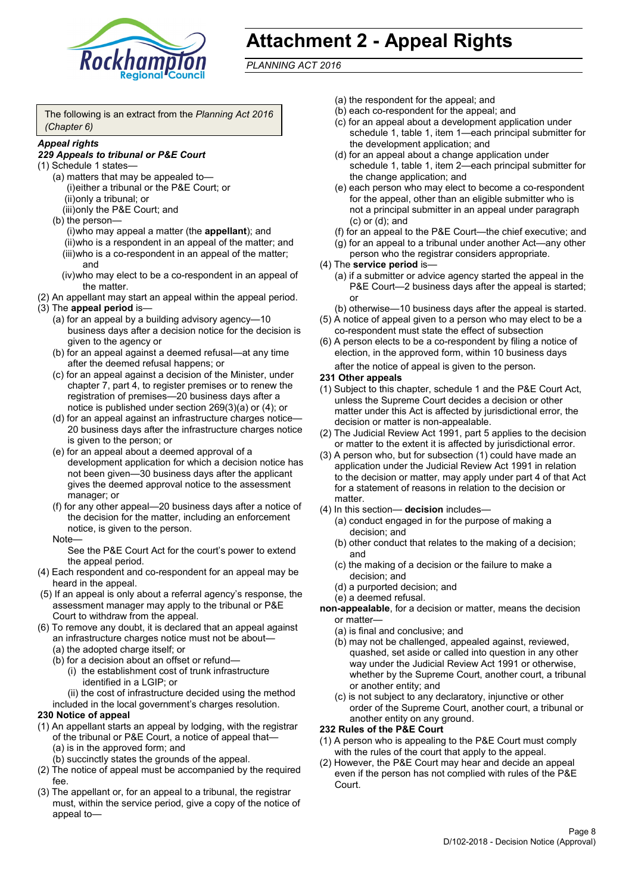

# **Attachment 2 - Appeal Rights**

*PLANNING ACT 2016*

The following is an extract from the *Planning Act 2016 (Chapter 6)*

#### *Appeal rights*

#### *229 Appeals to tribunal or P&E Court*

- (1) Schedule 1 states—
	- (a) matters that may be appealed to— (i)either a tribunal or the P&E Court; or (ii)only a tribunal; or (iii)only the P&E Court; and
	- (b) the person—

(i)who may appeal a matter (the **appellant**); and (ii)who is a respondent in an appeal of the matter; and (iii)who is a co-respondent in an appeal of the matter; and

- (iv)who may elect to be a co-respondent in an appeal of the matter.
- (2) An appellant may start an appeal within the appeal period.
- (3) The **appeal period** is—
	- (a) for an appeal by a building advisory agency—10 business days after a decision notice for the decision is given to the agency or
	- (b) for an appeal against a deemed refusal—at any time after the deemed refusal happens; or
	- (c) for an appeal against a decision of the Minister, under chapter 7, part 4, to register premises or to renew the registration of premises—20 business days after a notice is published under section 269(3)(a) or (4); or
	- (d) for an appeal against an infrastructure charges notice— 20 business days after the infrastructure charges notice is given to the person; or
	- (e) for an appeal about a deemed approval of a development application for which a decision notice has not been given—30 business days after the applicant gives the deemed approval notice to the assessment manager; or
	- (f) for any other appeal—20 business days after a notice of the decision for the matter, including an enforcement notice, is given to the person.

#### Note—

See the P&E Court Act for the court's power to extend the appeal period.

- (4) Each respondent and co-respondent for an appeal may be heard in the appeal.
- (5) If an appeal is only about a referral agency's response, the assessment manager may apply to the tribunal or P&E Court to withdraw from the appeal.
- (6) To remove any doubt, it is declared that an appeal against an infrastructure charges notice must not be about—
	- (a) the adopted charge itself; or
	- (b) for a decision about an offset or refund—
		- (i) the establishment cost of trunk infrastructure identified in a LGIP; or

(ii) the cost of infrastructure decided using the method

included in the local government's charges resolution.

## **230 Notice of appeal**

- (1) An appellant starts an appeal by lodging, with the registrar of the tribunal or P&E Court, a notice of appeal that—
	- (a) is in the approved form; and
	- (b) succinctly states the grounds of the appeal.
- (2) The notice of appeal must be accompanied by the required fee.
- (3) The appellant or, for an appeal to a tribunal, the registrar must, within the service period, give a copy of the notice of appeal to—
- (a) the respondent for the appeal; and
- (b) each co-respondent for the appeal; and
- (c) for an appeal about a development application under schedule 1, table 1, item 1—each principal submitter for the development application; and
- (d) for an appeal about a change application under schedule 1, table 1, item 2—each principal submitter for the change application; and
- (e) each person who may elect to become a co-respondent for the appeal, other than an eligible submitter who is not a principal submitter in an appeal under paragraph (c) or (d); and
- (f) for an appeal to the P&E Court—the chief executive; and
- (g) for an appeal to a tribunal under another Act—any other person who the registrar considers appropriate.
- (4) The **service period** is—
	- (a) if a submitter or advice agency started the appeal in the P&E Court—2 business days after the appeal is started; or
	- (b) otherwise—10 business days after the appeal is started.
- (5) A notice of appeal given to a person who may elect to be a co-respondent must state the effect of subsection
- (6) A person elects to be a co-respondent by filing a notice of election, in the approved form, within 10 business days after the notice of appeal is given to the person*.*
- **231 Other appeals**
- (1) Subject to this chapter, schedule 1 and the P&E Court Act, unless the Supreme Court decides a decision or other matter under this Act is affected by jurisdictional error, the decision or matter is non-appealable.
- (2) The Judicial Review Act 1991, part 5 applies to the decision or matter to the extent it is affected by jurisdictional error.
- (3) A person who, but for subsection (1) could have made an application under the Judicial Review Act 1991 in relation to the decision or matter, may apply under part 4 of that Act for a statement of reasons in relation to the decision or matter.
- (4) In this section— **decision** includes—
	- (a) conduct engaged in for the purpose of making a decision; and
	- (b) other conduct that relates to the making of a decision; and
	- (c) the making of a decision or the failure to make a decision; and
	- (d) a purported decision; and
	- (e) a deemed refusal.

**non-appealable**, for a decision or matter, means the decision or matter—

- (a) is final and conclusive; and
- (b) may not be challenged, appealed against, reviewed, quashed, set aside or called into question in any other way under the Judicial Review Act 1991 or otherwise, whether by the Supreme Court, another court, a tribunal or another entity; and
- (c) is not subject to any declaratory, injunctive or other order of the Supreme Court, another court, a tribunal or another entity on any ground.

#### **232 Rules of the P&E Court**

- (1) A person who is appealing to the P&E Court must comply with the rules of the court that apply to the appeal.
- (2) However, the P&E Court may hear and decide an appeal even if the person has not complied with rules of the P&E Court.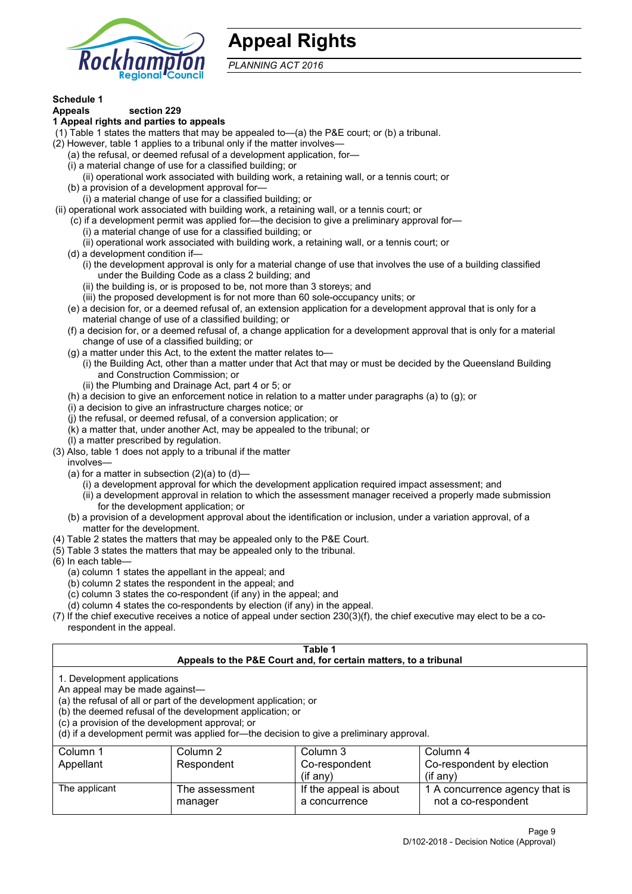

## **Appeal Rights**

*PLANNING ACT 2016*

# **Schedule 1**

#### **Appeals section 229 1 Appeal rights and parties to appeals**

- (1) Table 1 states the matters that may be appealed to—(a) the P&E court; or (b) a tribunal.
- (2) However, table 1 applies to a tribunal only if the matter involves—
	- (a) the refusal, or deemed refusal of a development application, for—
	- (i) a material change of use for a classified building; or
	- (ii) operational work associated with building work, a retaining wall, or a tennis court; or
	- (b) a provision of a development approval for—
	- (i) a material change of use for a classified building; or
- (ii) operational work associated with building work, a retaining wall, or a tennis court; or
	- (c) if a development permit was applied for—the decision to give a preliminary approval for—
		- (i) a material change of use for a classified building; or
		- (ii) operational work associated with building work, a retaining wall, or a tennis court; or
	- (d) a development condition if—
		- (i) the development approval is only for a material change of use that involves the use of a building classified under the Building Code as a class 2 building; and
		- (ii) the building is, or is proposed to be, not more than 3 storeys; and
		- (iii) the proposed development is for not more than 60 sole-occupancy units; or
	- (e) a decision for, or a deemed refusal of, an extension application for a development approval that is only for a material change of use of a classified building; or
	- (f) a decision for, or a deemed refusal of, a change application for a development approval that is only for a material change of use of a classified building; or
	- (g) a matter under this Act, to the extent the matter relates to—
		- (i) the Building Act, other than a matter under that Act that may or must be decided by the Queensland Building and Construction Commission; or
		- (ii) the Plumbing and Drainage Act, part 4 or 5; or
	- (h) a decision to give an enforcement notice in relation to a matter under paragraphs (a) to (g); or
	- (i) a decision to give an infrastructure charges notice; or
	- (j) the refusal, or deemed refusal, of a conversion application; or
	- (k) a matter that, under another Act, may be appealed to the tribunal; or
	- (l) a matter prescribed by regulation.
- (3) Also, table 1 does not apply to a tribunal if the matter
	- involves—
	- (a) for a matter in subsection  $(2)(a)$  to  $(d)$ 
		- (i) a development approval for which the development application required impact assessment; and
		- (ii) a development approval in relation to which the assessment manager received a properly made submission for the development application; or
	- (b) a provision of a development approval about the identification or inclusion, under a variation approval, of a matter for the development.
- (4) Table 2 states the matters that may be appealed only to the P&E Court.
- (5) Table 3 states the matters that may be appealed only to the tribunal.
- (6) In each table—
	- (a) column 1 states the appellant in the appeal; and
	- (b) column 2 states the respondent in the appeal; and
	- (c) column 3 states the co-respondent (if any) in the appeal; and
	- (d) column 4 states the co-respondents by election (if any) in the appeal.
- (7) If the chief executive receives a notice of appeal under section 230(3)(f), the chief executive may elect to be a corespondent in the appeal.

| Table 1                                                                                                                                                                                                                                                                                                                                        |                                  |                                                                  |                                                       |  |  |
|------------------------------------------------------------------------------------------------------------------------------------------------------------------------------------------------------------------------------------------------------------------------------------------------------------------------------------------------|----------------------------------|------------------------------------------------------------------|-------------------------------------------------------|--|--|
|                                                                                                                                                                                                                                                                                                                                                |                                  | Appeals to the P&E Court and, for certain matters, to a tribunal |                                                       |  |  |
| 1. Development applications<br>An appeal may be made against-<br>(a) the refusal of all or part of the development application; or<br>(b) the deemed refusal of the development application; or<br>(c) a provision of the development approval; or<br>(d) if a development permit was applied for—the decision to give a preliminary approval. |                                  |                                                                  |                                                       |  |  |
| Column 1                                                                                                                                                                                                                                                                                                                                       | Column 2<br>Column 3<br>Column 4 |                                                                  |                                                       |  |  |
| Appellant                                                                                                                                                                                                                                                                                                                                      | Respondent                       | Co-respondent                                                    | Co-respondent by election                             |  |  |
|                                                                                                                                                                                                                                                                                                                                                |                                  | $($ if any $)$                                                   | $(f \text{an} v)$                                     |  |  |
| The applicant                                                                                                                                                                                                                                                                                                                                  | The assessment<br>manager        | If the appeal is about<br>a concurrence                          | 1 A concurrence agency that is<br>not a co-respondent |  |  |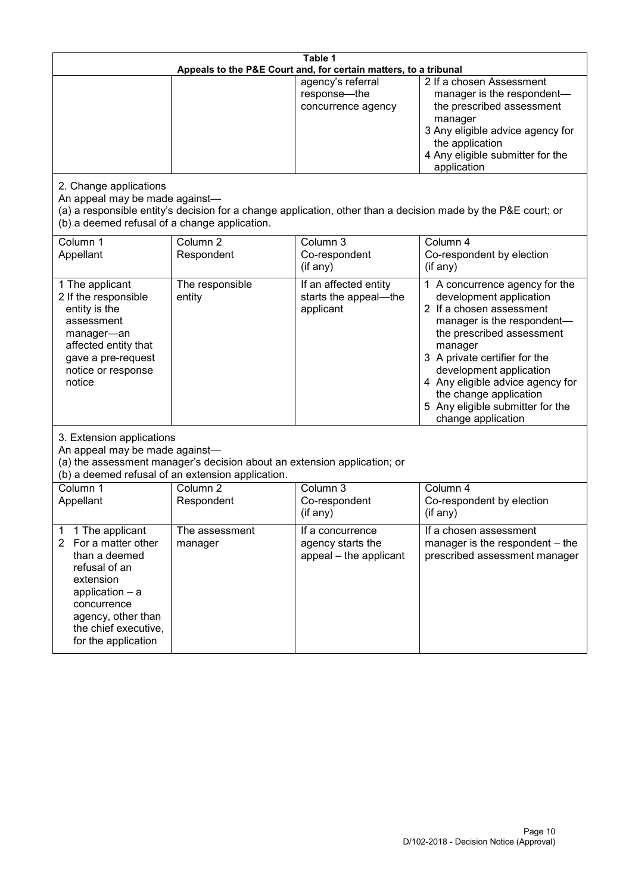| Table 1<br>Appeals to the P&E Court and, for certain matters, to a tribunal                                                                                                                                      |                                                                                                                               |                                                                 |                                                                                                                                                                                                                                                                                                                                                 |
|------------------------------------------------------------------------------------------------------------------------------------------------------------------------------------------------------------------|-------------------------------------------------------------------------------------------------------------------------------|-----------------------------------------------------------------|-------------------------------------------------------------------------------------------------------------------------------------------------------------------------------------------------------------------------------------------------------------------------------------------------------------------------------------------------|
|                                                                                                                                                                                                                  |                                                                                                                               | agency's referral<br>response-the<br>concurrence agency         | 2 If a chosen Assessment<br>manager is the respondent-<br>the prescribed assessment<br>manager<br>3 Any eligible advice agency for<br>the application<br>4 Any eligible submitter for the<br>application                                                                                                                                        |
| 2. Change applications<br>An appeal may be made against-<br>(b) a deemed refusal of a change application.                                                                                                        |                                                                                                                               |                                                                 | (a) a responsible entity's decision for a change application, other than a decision made by the P&E court; or                                                                                                                                                                                                                                   |
| Column 1<br>Appellant                                                                                                                                                                                            | Column <sub>2</sub><br>Respondent                                                                                             | Column 3<br>Co-respondent<br>(if any)                           | Column 4<br>Co-respondent by election<br>(if any)                                                                                                                                                                                                                                                                                               |
| 1 The applicant<br>2 If the responsible<br>entity is the<br>assessment<br>manager-an<br>affected entity that<br>gave a pre-request<br>notice or response<br>notice                                               | The responsible<br>entity                                                                                                     | If an affected entity<br>starts the appeal-the<br>applicant     | 1 A concurrence agency for the<br>development application<br>2 If a chosen assessment<br>manager is the respondent-<br>the prescribed assessment<br>manager<br>3 A private certifier for the<br>development application<br>4 Any eligible advice agency for<br>the change application<br>5 Any eligible submitter for the<br>change application |
| 3. Extension applications<br>An appeal may be made against-                                                                                                                                                      | (a) the assessment manager's decision about an extension application; or<br>(b) a deemed refusal of an extension application. |                                                                 |                                                                                                                                                                                                                                                                                                                                                 |
| Column 1<br>Appellant                                                                                                                                                                                            | Column <sub>2</sub><br>Respondent                                                                                             | Column 3<br>Co-respondent<br>(if any)                           | Column 4<br>Co-respondent by election<br>(if any)                                                                                                                                                                                                                                                                                               |
| 1 The applicant<br>1<br>For a matter other<br>$\mathbf{2}$<br>than a deemed<br>refusal of an<br>extension<br>application - a<br>concurrence<br>agency, other than<br>the chief executive,<br>for the application | The assessment<br>manager                                                                                                     | If a concurrence<br>agency starts the<br>appeal - the applicant | If a chosen assessment<br>manager is the respondent – the<br>prescribed assessment manager                                                                                                                                                                                                                                                      |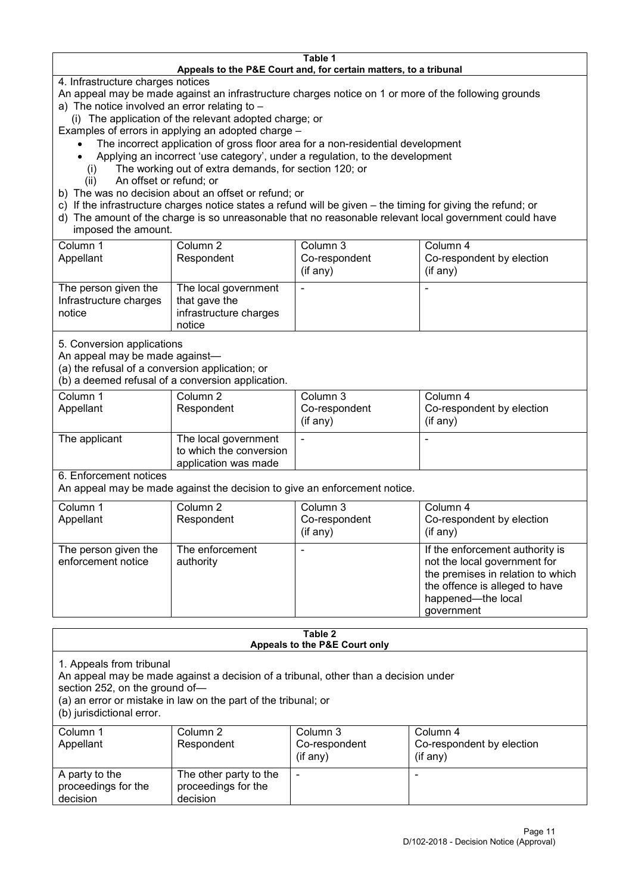#### **Table 1 Appeals to the P&E Court and, for certain matters, to a tribunal**

4. Infrastructure charges notices

- An appeal may be made against an infrastructure charges notice on 1 or more of the following grounds
- a) The notice involved an error relating to
	- (i) The application of the relevant adopted charge; or
- Examples of errors in applying an adopted charge
	- The incorrect application of gross floor area for a non-residential development
	- Applying an incorrect 'use category', under a regulation, to the development
	- (i) The working out of extra demands, for section 120; or
	- (ii) An offset or refund; or
- b) The was no decision about an offset or refund; or
- c) If the infrastructure charges notice states a refund will be given the timing for giving the refund; or
- d) The amount of the charge is so unreasonable that no reasonable relevant local government could have
- imposed the amount.

| Column 1                                                 | Column 2                                                                  | Column 3      | Column 4                  |
|----------------------------------------------------------|---------------------------------------------------------------------------|---------------|---------------------------|
| Appellant                                                | Respondent                                                                | Co-respondent | Co-respondent by election |
|                                                          |                                                                           | (if any)      | (if any)                  |
| The person given the<br>Infrastructure charges<br>notice | The local government<br>that gave the<br>infrastructure charges<br>notice |               | -                         |

5. Conversion applications

An appeal may be made against—

(a) the refusal of a conversion application; or

(b) a deemed refusal of a conversion application.

| Column 1<br>Appellant | Column 2<br>Respondent                                                  | Column 3<br>Co-respondent | Column 4<br>Co-respondent by election |
|-----------------------|-------------------------------------------------------------------------|---------------------------|---------------------------------------|
|                       |                                                                         | $($ if any $)$            | $(if$ any)                            |
| The applicant         | The local government<br>to which the conversion<br>application was made |                           |                                       |

6. Enforcement notices

An appeal may be made against the decision to give an enforcement notice.

| Column 1                                   | Column 2                     | Column 3      | Column 4                                                                                                                                                                   |
|--------------------------------------------|------------------------------|---------------|----------------------------------------------------------------------------------------------------------------------------------------------------------------------------|
| Appellant                                  | Respondent                   | Co-respondent | Co-respondent by election                                                                                                                                                  |
|                                            |                              | (if any)      | (if any)                                                                                                                                                                   |
| The person given the<br>enforcement notice | The enforcement<br>authority |               | If the enforcement authority is<br>not the local government for<br>the premises in relation to which<br>the offence is alleged to have<br>happened-the local<br>government |

#### **Table 2 Appeals to the P&E Court only**

1. Appeals from tribunal

An appeal may be made against a decision of a tribunal, other than a decision under

section 252, on the ground of—

(a) an error or mistake in law on the part of the tribunal; or

(b) jurisdictional error.

| Column 1<br>Appellant                             | Column 2<br>Respondent                                    | Column 3<br>Co-respondent<br>$($ if any $)$ | Column 4<br>Co-respondent by election<br>$($ if any $)$ |
|---------------------------------------------------|-----------------------------------------------------------|---------------------------------------------|---------------------------------------------------------|
| A party to the<br>proceedings for the<br>decision | The other party to the<br>proceedings for the<br>decision | -                                           |                                                         |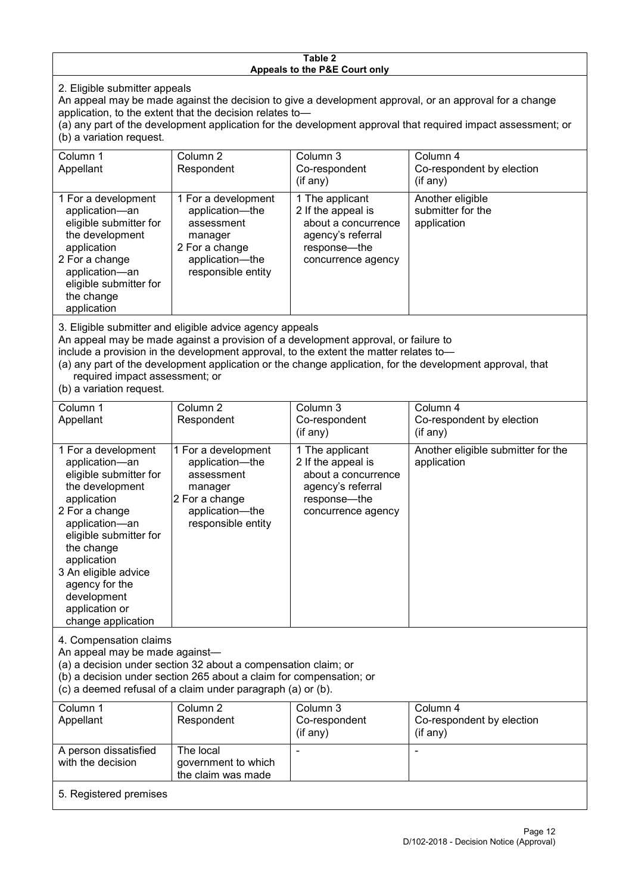#### **Table 2 Appeals to the P&E Court only**

2. Eligible submitter appeals

An appeal may be made against the decision to give a development approval, or an approval for a change application, to the extent that the decision relates to—

(a) any part of the development application for the development approval that required impact assessment; or (b) a variation request.

| Column 1                                                                              | Column <sub>2</sub> | Column 3            | Column 4                                                                                                  |  |
|---------------------------------------------------------------------------------------|---------------------|---------------------|-----------------------------------------------------------------------------------------------------------|--|
|                                                                                       |                     |                     |                                                                                                           |  |
| Appellant                                                                             | Respondent          | Co-respondent       | Co-respondent by election                                                                                 |  |
|                                                                                       |                     | $($ if any $)$      | (if any)                                                                                                  |  |
|                                                                                       |                     |                     |                                                                                                           |  |
| 1 For a development                                                                   | 1 For a development | 1 The applicant     | Another eligible                                                                                          |  |
| application-an                                                                        | application-the     | 2 If the appeal is  | submitter for the                                                                                         |  |
| eligible submitter for                                                                | assessment          | about a concurrence | application                                                                                               |  |
|                                                                                       |                     |                     |                                                                                                           |  |
| the development                                                                       | manager             | agency's referral   |                                                                                                           |  |
| application                                                                           | 2 For a change      | response—the        |                                                                                                           |  |
| 2 For a change                                                                        | application—the     | concurrence agency  |                                                                                                           |  |
| application-an                                                                        | responsible entity  |                     |                                                                                                           |  |
|                                                                                       |                     |                     |                                                                                                           |  |
| eligible submitter for                                                                |                     |                     |                                                                                                           |  |
| the change                                                                            |                     |                     |                                                                                                           |  |
| application                                                                           |                     |                     |                                                                                                           |  |
|                                                                                       |                     |                     |                                                                                                           |  |
| 3. Eligible submitter and eligible advice agency appeals                              |                     |                     |                                                                                                           |  |
| An appeal may be made against a provision of a development approval, or failure to    |                     |                     |                                                                                                           |  |
| include a provision in the development approval, to the extent the matter relates to- |                     |                     |                                                                                                           |  |
|                                                                                       |                     |                     |                                                                                                           |  |
|                                                                                       |                     |                     | (a) any part of the development application or the change application, for the development approval, that |  |
|                                                                                       |                     |                     |                                                                                                           |  |

required impact assessment; or

(b) a variation request.

| Column 1<br>Appellant                                                                                                                                                                                                                                                                         | Column 2<br>Respondent                                                                                                     | Column 3<br>Co-respondent<br>$($ if any $)$                                                                             | Column 4<br>Co-respondent by election<br>(if any) |  |
|-----------------------------------------------------------------------------------------------------------------------------------------------------------------------------------------------------------------------------------------------------------------------------------------------|----------------------------------------------------------------------------------------------------------------------------|-------------------------------------------------------------------------------------------------------------------------|---------------------------------------------------|--|
|                                                                                                                                                                                                                                                                                               |                                                                                                                            |                                                                                                                         |                                                   |  |
| 1 For a development<br>application-an<br>eligible submitter for<br>the development<br>application<br>2 For a change<br>application-an<br>eligible submitter for<br>the change<br>application<br>3 An eligible advice<br>agency for the<br>development<br>application or<br>change application | 1 For a development<br>application-the<br>assessment<br>manager<br>2 For a change<br>application-the<br>responsible entity | 1 The applicant<br>2 If the appeal is<br>about a concurrence<br>agency's referral<br>response-the<br>concurrence agency | Another eligible submitter for the<br>application |  |
| 4. Compensation claims<br>An appeal may be made against-<br>(a) a decision under section 32 about a compensation claim; or<br>(b) a decision under section 265 about a claim for compensation; or<br>(c) a deemed refusal of a claim under paragraph (a) or (b).                              |                                                                                                                            |                                                                                                                         |                                                   |  |
| Column 1                                                                                                                                                                                                                                                                                      | Column 2                                                                                                                   | Column 3                                                                                                                | Column 4                                          |  |
| Appellant                                                                                                                                                                                                                                                                                     | Respondent                                                                                                                 | Co-respondent<br>(if any)                                                                                               | Co-respondent by election<br>(if any)             |  |
| A person dissatisfied                                                                                                                                                                                                                                                                         | The local<br>والمتابول والمستقلة والمستني                                                                                  |                                                                                                                         |                                                   |  |

#### 5. Registered premises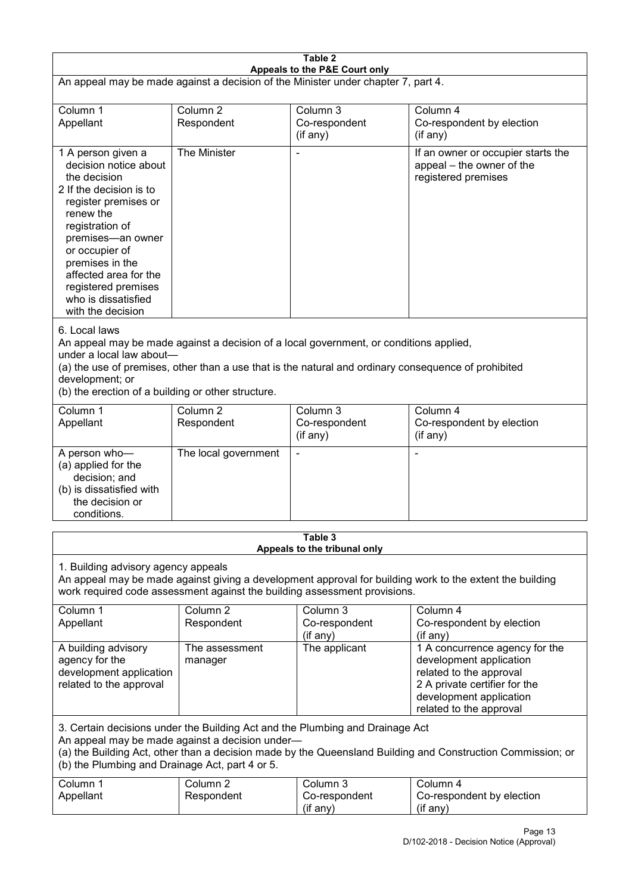| Table 2<br>Appeals to the P&E Court only                                                                                                                                                                                                                                                                             |                                   |                                                                           |                                                                                                                                                                             |  |
|----------------------------------------------------------------------------------------------------------------------------------------------------------------------------------------------------------------------------------------------------------------------------------------------------------------------|-----------------------------------|---------------------------------------------------------------------------|-----------------------------------------------------------------------------------------------------------------------------------------------------------------------------|--|
| An appeal may be made against a decision of the Minister under chapter 7, part 4.                                                                                                                                                                                                                                    |                                   |                                                                           |                                                                                                                                                                             |  |
| Column 1<br>Appellant                                                                                                                                                                                                                                                                                                | Column <sub>2</sub><br>Respondent | Column 3<br>Co-respondent<br>(if any)                                     | Column 4<br>Co-respondent by election<br>(if any)                                                                                                                           |  |
| 1 A person given a<br>decision notice about<br>the decision<br>2 If the decision is to<br>register premises or<br>renew the<br>registration of<br>premises-an owner<br>or occupier of<br>premises in the<br>affected area for the<br>registered premises<br>who is dissatisfied<br>with the decision                 | The Minister                      |                                                                           | If an owner or occupier starts the<br>appeal – the owner of the<br>registered premises                                                                                      |  |
| 6. Local laws<br>An appeal may be made against a decision of a local government, or conditions applied,<br>under a local law about-<br>(a) the use of premises, other than a use that is the natural and ordinary consequence of prohibited<br>development; or<br>(b) the erection of a building or other structure. |                                   |                                                                           |                                                                                                                                                                             |  |
| Column 1<br>Appellant                                                                                                                                                                                                                                                                                                | Column <sub>2</sub><br>Respondent | Column 3<br>Co-respondent<br>(if any)                                     | Column 4<br>Co-respondent by election<br>(if any)                                                                                                                           |  |
| A person who-<br>(a) applied for the<br>decision; and<br>(b) is dissatisfied with<br>the decision or<br>conditions.                                                                                                                                                                                                  | The local government              |                                                                           |                                                                                                                                                                             |  |
|                                                                                                                                                                                                                                                                                                                      |                                   | Table 3<br>Appeals to the tribunal only                                   |                                                                                                                                                                             |  |
| 1. Building advisory agency appeals                                                                                                                                                                                                                                                                                  |                                   | work required code assessment against the building assessment provisions. | An appeal may be made against giving a development approval for building work to the extent the building                                                                    |  |
| Column 1<br>Appellant                                                                                                                                                                                                                                                                                                | Column <sub>2</sub><br>Respondent | Column 3<br>Co-respondent<br>(if any)                                     | Column 4<br>Co-respondent by election<br>(if any)                                                                                                                           |  |
| A building advisory<br>agency for the<br>development application<br>related to the approval                                                                                                                                                                                                                          | The assessment<br>manager         | The applicant                                                             | 1 A concurrence agency for the<br>development application<br>related to the approval<br>2 A private certifier for the<br>development application<br>related to the approval |  |
| 3. Certain decisions under the Building Act and the Plumbing and Drainage Act<br>An appeal may be made against a decision under-<br>(a) the Building Act, other than a decision made by the Queensland Building and Construction Commission; or<br>(b) the Plumbing and Drainage Act, part 4 or 5.                   |                                   |                                                                           |                                                                                                                                                                             |  |
| Column 1<br>Appellant                                                                                                                                                                                                                                                                                                | Column <sub>2</sub><br>Respondent | Column 3<br>Co-respondent<br>(if any)                                     | Column 4<br>Co-respondent by election<br>(if any)                                                                                                                           |  |